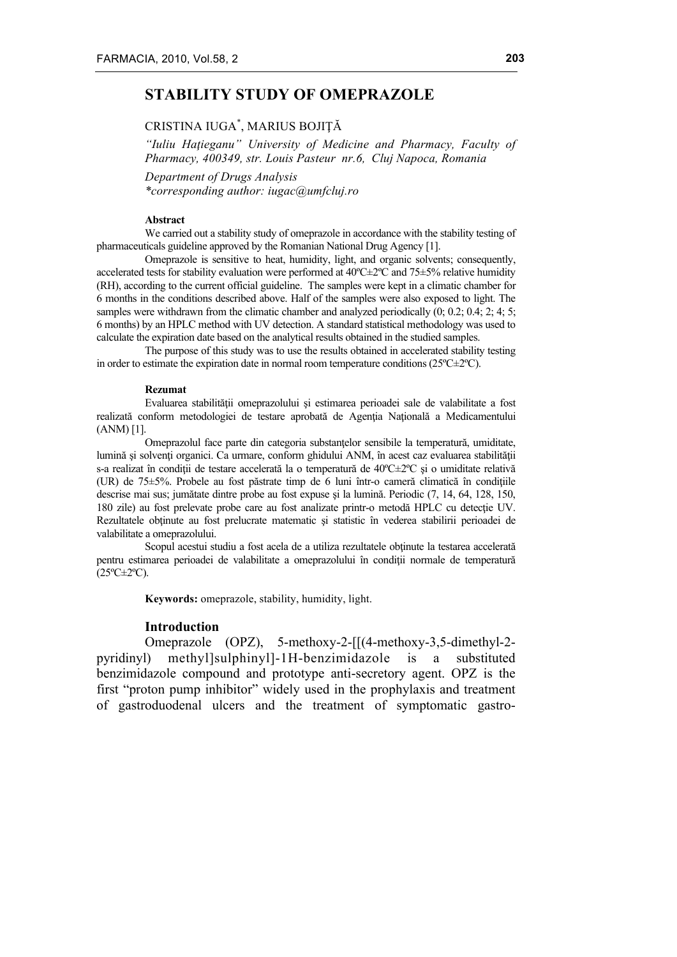# **STABILITY STUDY OF OMEPRAZOLE**

## CRISTINA IUGA\* , MARIUS BOJIŢĂ

*"Iuliu Haţieganu" University of Medicine and Pharmacy, Faculty of Pharmacy, 400349, str. Louis Pasteur nr.6, Cluj Napoca, Romania*

*Department of Drugs Analysis \*corresponding author: iugac@umfcluj.ro*

#### **Abstract**

We carried out a stability study of omeprazole in accordance with the stability testing of pharmaceuticals guideline approved by the Romanian National Drug Agency [1].

Omeprazole is sensitive to heat, humidity, light, and organic solvents; consequently, accelerated tests for stability evaluation were performed at  $40^{\circ}C \pm 2^{\circ}C$  and  $75 \pm 5\%$  relative humidity (RH), according to the current official guideline. The samples were kept in a climatic chamber for 6 months in the conditions described above. Half of the samples were also exposed to light. The samples were withdrawn from the climatic chamber and analyzed periodically  $(0; 0.2; 0.4; 2; 4; 5;$ 6 months) by an HPLC method with UV detection. A standard statistical methodology was used to calculate the expiration date based on the analytical results obtained in the studied samples.

The purpose of this study was to use the results obtained in accelerated stability testing in order to estimate the expiration date in normal room temperature conditions ( $25^{\circ}C\pm2^{\circ}C$ ).

#### **Rezumat**

Evaluarea stabilităţii omeprazolului şi estimarea perioadei sale de valabilitate a fost realizată conform metodologiei de testare aprobată de Agenţia Naţională a Medicamentului (ANM) [1].

Omeprazolul face parte din categoria substanțelor sensibile la temperatură, umiditate, lumină și solvenți organici. Ca urmare, conform ghidului ANM, în acest caz evaluarea stabilității s-a realizat în condiții de testare accelerată la o temperatură de 40°C $\pm$ 2°C și o umiditate relativă (UR) de  $75\pm5\%$ . Probele au fost păstrate timp de 6 luni într-o cameră climatică în conditiile descrise mai sus; jumătate dintre probe au fost expuse şi la lumină. Periodic (7, 14, 64, 128, 150, 180 zile) au fost prelevate probe care au fost analizate printr-o metodă HPLC cu detectie UV. Rezultatele obtinute au fost prelucrate matematic și statistic în vederea stabilirii perioadei de valabilitate a omeprazolului.

Scopul acestui studiu a fost acela de a utiliza rezultatele obținute la testarea accelerată pentru estimarea perioadei de valabilitate a omeprazolului în condiții normale de temperatură  $(25^{\circ}C \pm 2^{\circ}C)$ .

**Keywords:** omeprazole, stability, humidity, light.

### **Introduction**

Omeprazole (OPZ), 5-methoxy-2-[[(4-methoxy-3,5-dimethyl-2 pyridinyl) methyl]sulphinyl]-1H-benzimidazole is a substituted benzimidazole compound and prototype anti-secretory agent. OPZ is the first "proton pump inhibitor" widely used in the prophylaxis and treatment of gastroduodenal ulcers and the treatment of symptomatic gastro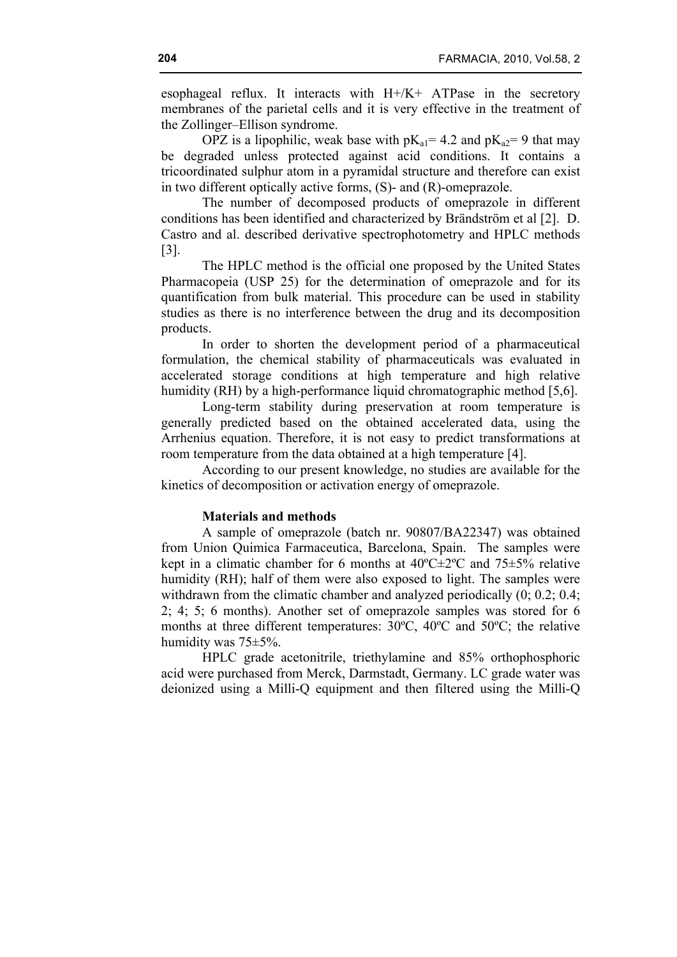esophageal reflux. It interacts with H+/K+ ATPase in the secretory membranes of the parietal cells and it is very effective in the treatment of the Zollinger–Ellison syndrome.

OPZ is a lipophilic, weak base with  $pK_{a1} = 4.2$  and  $pK_{a2} = 9$  that may be degraded unless protected against acid conditions. It contains a tricoordinated sulphur atom in a pyramidal structure and therefore can exist in two different optically active forms, (S)- and (R)-omeprazole.

The number of decomposed products of omeprazole in different conditions has been identified and characterized by Brändström et al [2]. D. Castro and al. described derivative spectrophotometry and HPLC methods [3].

The HPLC method is the official one proposed by the United States Pharmacopeia (USP 25) for the determination of omeprazole and for its quantification from bulk material. This procedure can be used in stability studies as there is no interference between the drug and its decomposition products.

In order to shorten the development period of a pharmaceutical formulation, the chemical stability of pharmaceuticals was evaluated in accelerated storage conditions at high temperature and high relative humidity (RH) by a high-performance liquid chromatographic method [5,6].

Long-term stability during preservation at room temperature is generally predicted based on the obtained accelerated data, using the Arrhenius equation. Therefore, it is not easy to predict transformations at room temperature from the data obtained at a high temperature [4].

According to our present knowledge, no studies are available for the kinetics of decomposition or activation energy of omeprazole.

### **Materials and methods**

A sample of omeprazole (batch nr. 90807/BA22347) was obtained from Union Quimica Farmaceutica, Barcelona, Spain. The samples were kept in a climatic chamber for 6 months at  $40^{\circ}$ C $\pm$ 2°C and 75 $\pm$ 5% relative humidity (RH); half of them were also exposed to light. The samples were withdrawn from the climatic chamber and analyzed periodically  $(0; 0.2; 0.4;$ 2; 4; 5; 6 months). Another set of omeprazole samples was stored for 6 months at three different temperatures: 30ºC, 40ºC and 50ºC; the relative humidity was 75±5%.

HPLC grade acetonitrile, triethylamine and 85% orthophosphoric acid were purchased from Merck, Darmstadt, Germany. LC grade water was deionized using a Milli-Q equipment and then filtered using the Milli-Q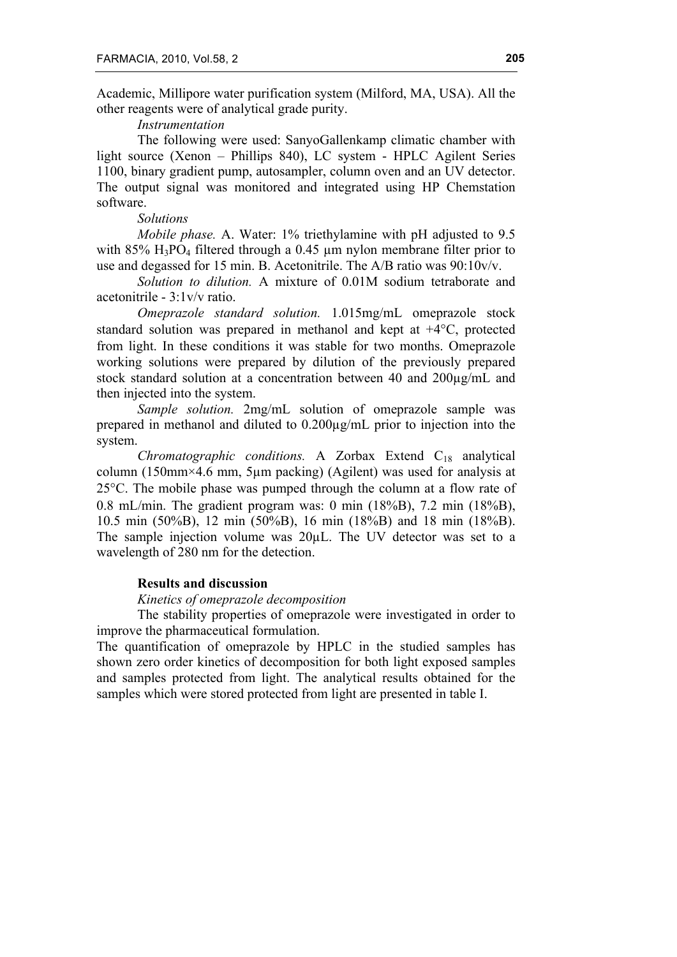Academic, Millipore water purification system (Milford, MA, USA). All the other reagents were of analytical grade purity.

### *Instrumentation*

The following were used: SanyoGallenkamp climatic chamber with light source (Xenon – Phillips 840), LC system - HPLC Agilent Series 1100, binary gradient pump, autosampler, column oven and an UV detector. The output signal was monitored and integrated using HP Chemstation software.

## *Solutions*

*Mobile phase.* A. Water: 1% triethylamine with pH adjusted to 9.5 with  $85\%$  H<sub>3</sub>PO<sub>4</sub> filtered through a 0.45 µm nylon membrane filter prior to use and degassed for 15 min. B. Acetonitrile. The A/B ratio was 90:10v/v.

*Solution to dilution.* A mixture of 0.01M sodium tetraborate and acetonitrile - 3:1v/v ratio.

*Omeprazole standard solution.* 1.015mg/mL omeprazole stock standard solution was prepared in methanol and kept at +4°C, protected from light. In these conditions it was stable for two months. Omeprazole working solutions were prepared by dilution of the previously prepared stock standard solution at a concentration between 40 and 200µg/mL and then injected into the system.

*Sample solution.* 2mg/mL solution of omeprazole sample was prepared in methanol and diluted to 0.200µg/mL prior to injection into the system.

*Chromatographic conditions.* A Zorbax Extend C18 analytical column (150mm×4.6 mm, 5µm packing) (Agilent) was used for analysis at 25°C. The mobile phase was pumped through the column at a flow rate of 0.8 mL/min. The gradient program was: 0 min (18%B), 7.2 min (18%B), 10.5 min (50%B), 12 min (50%B), 16 min (18%B) and 18 min (18%B). The sample injection volume was 20µL. The UV detector was set to a wavelength of 280 nm for the detection.

### **Results and discussion**

#### *Kinetics of omeprazole decomposition*

The stability properties of omeprazole were investigated in order to improve the pharmaceutical formulation.

The quantification of omeprazole by HPLC in the studied samples has shown zero order kinetics of decomposition for both light exposed samples and samples protected from light. The analytical results obtained for the samples which were stored protected from light are presented in table I.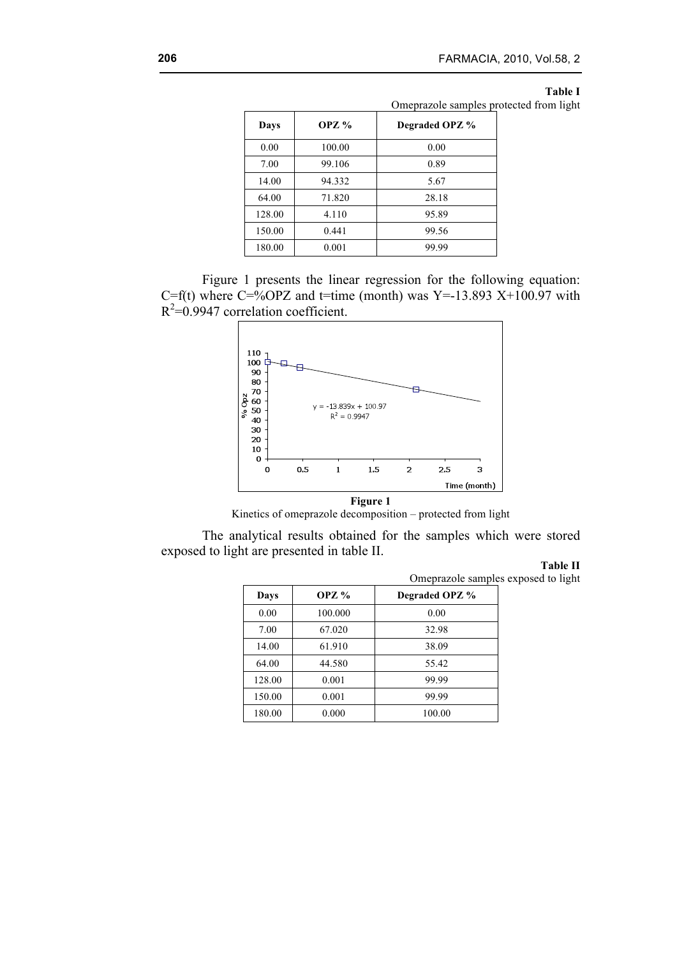#### **Table I**

Omeprazole samples protected from light

| Days   | OPZ $\frac{9}{6}$ | Degraded OPZ % |
|--------|-------------------|----------------|
| 0.00   | 100.00            | 0.00           |
| 7.00   | 99.106            | 0.89           |
| 14.00  | 94.332            | 5.67           |
| 64.00  | 71.820            | 28.18          |
| 128.00 | 4.110             | 95.89          |
| 150.00 | 0.441             | 99.56          |
| 180.00 | 0.001             | 99.99          |





Kinetics of omeprazole decomposition – protected from light

The analytical results obtained for the samples which were stored exposed to light are presented in table II.

### **Table II**

Omeprazole samples exposed to light

| Days   | OPZ $%$ | Degraded OPZ % |  |
|--------|---------|----------------|--|
| 0.00   | 100.000 | 0.00           |  |
| 7.00   | 67.020  | 32.98          |  |
| 14.00  | 61.910  | 38.09          |  |
| 64.00  | 44.580  | 55.42          |  |
| 128.00 | 0.001   | 99.99          |  |
| 150.00 | 0.001   | 99.99          |  |
| 180.00 | 0.000   | 100.00         |  |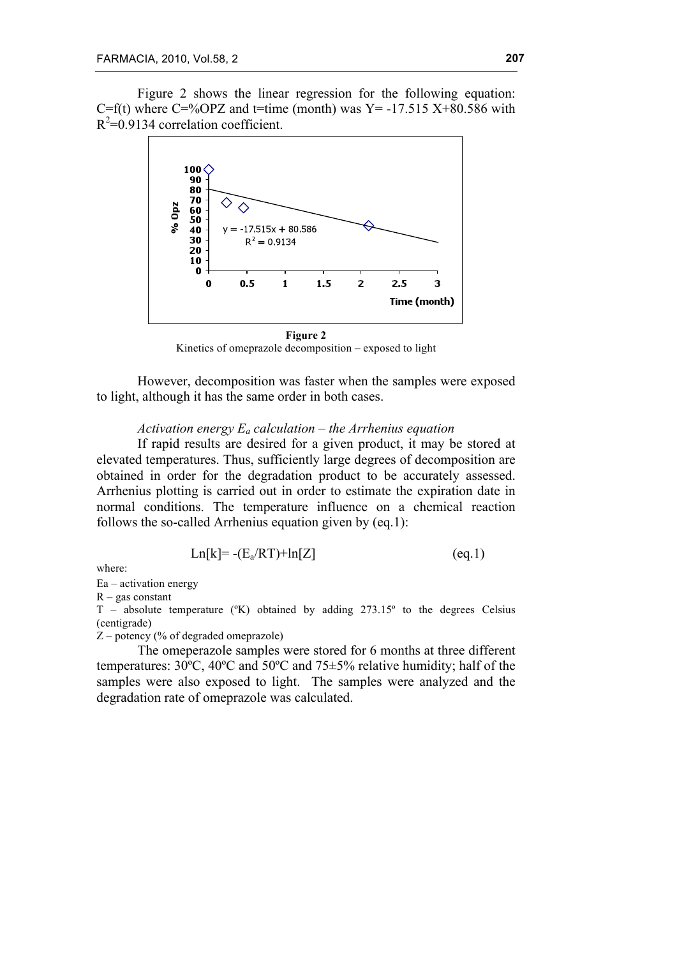Figure 2 shows the linear regression for the following equation: C=f(t) where  $C=8$  OPZ and t=time (month) was Y = -17.515 X+80.586 with  $R^2$ =0.9134 correlation coefficient.



Kinetics of omeprazole decomposition – exposed to light

However, decomposition was faster when the samples were exposed to light, although it has the same order in both cases.

## *Activation energy Ea calculation – the Arrhenius equation*

If rapid results are desired for a given product, it may be stored at elevated temperatures. Thus, sufficiently large degrees of decomposition are obtained in order for the degradation product to be accurately assessed. Arrhenius plotting is carried out in order to estimate the expiration date in normal conditions. The temperature influence on a chemical reaction follows the so-called Arrhenius equation given by (eq.1):

$$
Ln[k] = -(E_a/RT) + ln[Z]
$$
 (eq.1)

where:

Ea – activation energy

 $R - gas constant$ 

T – absolute temperature (ºK) obtained by adding 273.15º to the degrees Celsius (centigrade)

Z – potency (% of degraded omeprazole)

The omeperazole samples were stored for 6 months at three different temperatures: 30ºC, 40ºC and 50ºC and 75±5% relative humidity; half of the samples were also exposed to light. The samples were analyzed and the degradation rate of omeprazole was calculated.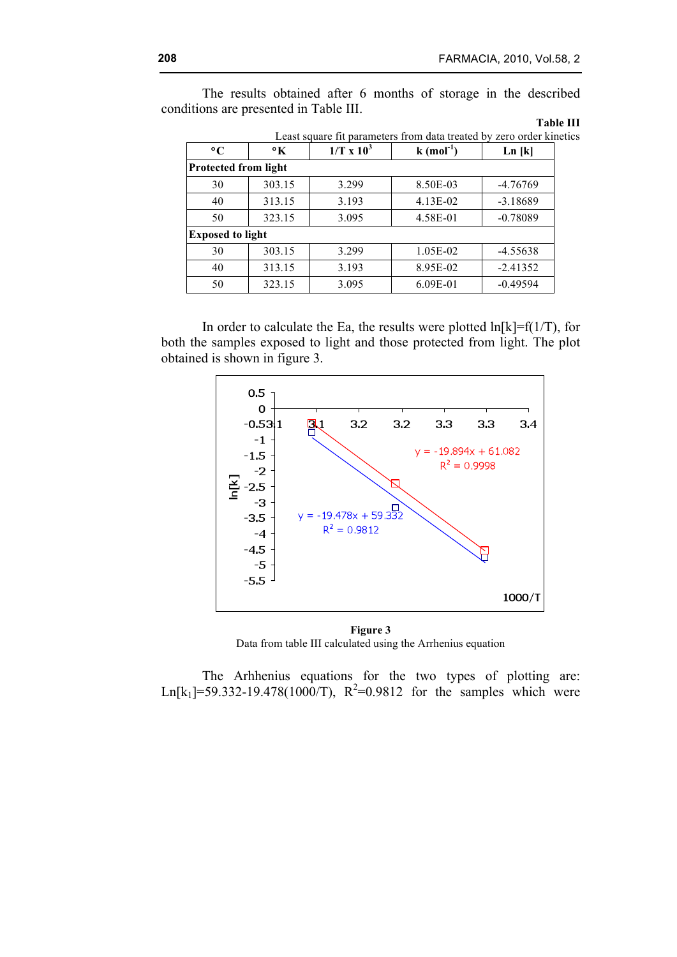The results obtained after 6 months of storage in the described conditions are presented in Table III.

| l'able : |  |
|----------|--|
|          |  |

| Least square fit parameters from data treated by zero order kinetics |                      |                   |                     |            |  |  |  |  |
|----------------------------------------------------------------------|----------------------|-------------------|---------------------|------------|--|--|--|--|
| $\rm ^{\circ}C$                                                      | $\mathbf{^{\circ}K}$ | $1/T \times 10^3$ | $k \text{ (mol}^1)$ | Ln[k]      |  |  |  |  |
| Protected from light                                                 |                      |                   |                     |            |  |  |  |  |
| 30                                                                   | 303.15               | 3.299             | 8.50E-03            | $-4.76769$ |  |  |  |  |
| 40                                                                   | 313.15               | 3.193             | 4.13E-02            | $-3.18689$ |  |  |  |  |
| 50                                                                   | 323.15               | 3.095             | 4.58E-01            | $-0.78089$ |  |  |  |  |
| <b>Exposed to light</b>                                              |                      |                   |                     |            |  |  |  |  |
| 30                                                                   | 303.15               | 3.299             | 1.05E-02            | $-4.55638$ |  |  |  |  |
| 40                                                                   | 313.15               | 3.193             | 8.95E-02            | $-2.41352$ |  |  |  |  |
| 50                                                                   | 323.15               | 3.095             | 6.09E-01            | $-0.49594$ |  |  |  |  |

**Table III**

In order to calculate the Ea, the results were plotted  $\ln[k]=f(1/T)$ , for both the samples exposed to light and those protected from light. The plot obtained is shown in figure 3.



**Figure 3** Data from table III calculated using the Arrhenius equation

The Arhhenius equations for the two types of plotting are: Ln[k<sub>1</sub>]=59.332-19.478(1000/T),  $R^2$ =0.9812 for the samples which were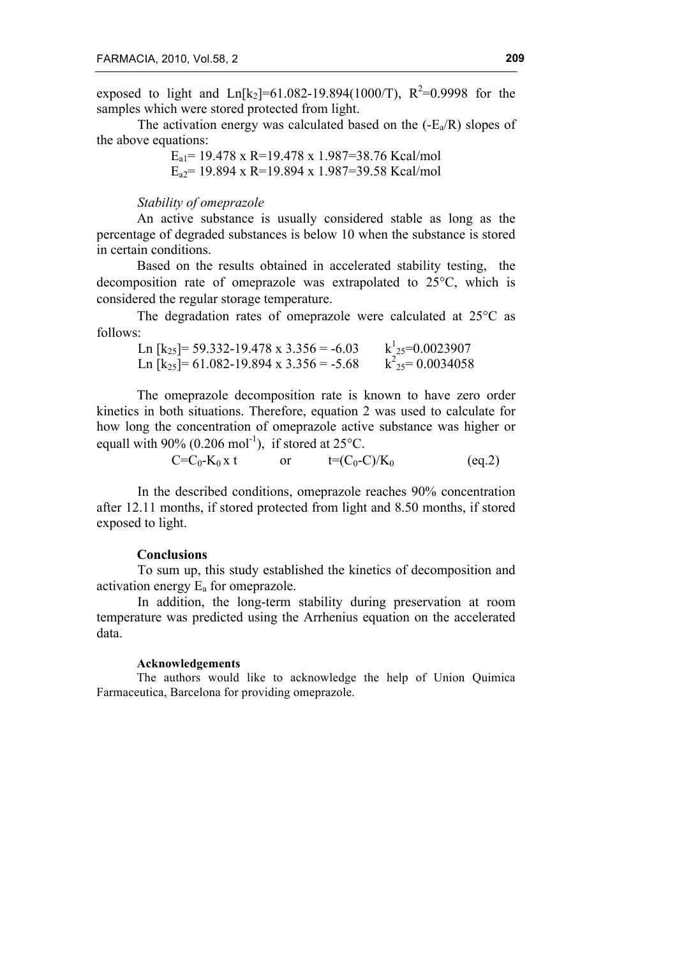exposed to light and  $Ln[k_2] = 61.082 - 19.894(1000/T)$ ,  $R^2 = 0.9998$  for the samples which were stored protected from light.

The activation energy was calculated based on the  $(-E_a/R)$  slopes of the above equations:

> $E_{a1}$  = 19.478 x R=19.478 x 1.987=38.76 Kcal/mol  $E_{a2}$  = 19.894 x R=19.894 x 1.987 = 39.58 Kcal/mol

#### *Stability of omeprazole*

An active substance is usually considered stable as long as the percentage of degraded substances is below 10 when the substance is stored in certain conditions.

Based on the results obtained in accelerated stability testing, the decomposition rate of omeprazole was extrapolated to 25°C, which is considered the regular storage temperature.

The degradation rates of omeprazole were calculated at 25°C as follows:

Ln  $[k_{25}]$ = 59.332-19.478 x 3.356 = -6.03  $k^1_{25}=0.0023907$ Ln  $[k_{25}]= 61.082 - 19.894 \text{ x } 3.356 = -5.68$  $k^2$ <sub>25</sub>= 0.0034058

The omeprazole decomposition rate is known to have zero order kinetics in both situations. Therefore, equation 2 was used to calculate for how long the concentration of omeprazole active substance was higher or equall with 90% (0.206 mol<sup>-1</sup>), if stored at  $25^{\circ}$ C.

> $C=C_0-K_0 x t$  or  $t=(C_0-C)/K_0$ (eq.2)

In the described conditions, omeprazole reaches 90% concentration after 12.11 months, if stored protected from light and 8.50 months, if stored exposed to light.

#### **Conclusions**

To sum up, this study established the kinetics of decomposition and activation energy  $E_a$  for omeprazole.

In addition, the long-term stability during preservation at room temperature was predicted using the Arrhenius equation on the accelerated data.

### **Acknowledgements**

The authors would like to acknowledge the help of Union Quimica Farmaceutica, Barcelona for providing omeprazole.